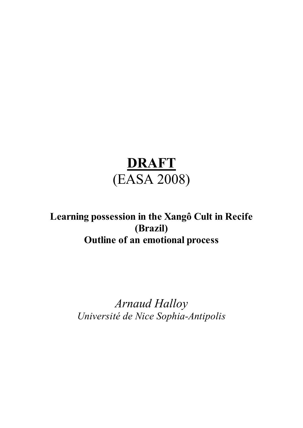# **DRAFT** (EASA 2008)

# **Learning possession in the Xangô Cult in Recife (Brazil) Outline of an emotional process**

*Arnaud Halloy Université de Nice Sophia-Antipolis*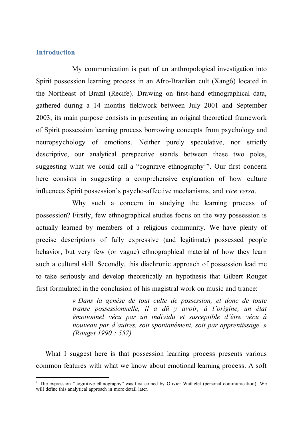# **Introduction**

My communication is part of an anthropological investigation into Spirit possession learning process in an Afro-Brazilian cult (Xangô) located in the Northeast of Brazil (Recife). Drawing on first-hand ethnographical data, gathered during a 14 months fieldwork between July 2001 and September 2003, its main purpose consists in presenting an original theoretical framework of Spirit possession learning process borrowing concepts from psychology and neuropsychology of emotions. Neither purely speculative, nor strictly descriptive, our analytical perspective stands between these two poles, suggesting what we could call a "cognitive ethnography<sup>1</sup>". Our first concern here consists in suggesting a comprehensive explanation of how culture influences Spirit possession's psycho-affective mechanisms, and *vice versa*.

Why such a concern in studying the learning process of possession? Firstly, few ethnographical studies focus on the way possession is actually learned by members of a religious community. We have plenty of precise descriptions of fully expressive (and legitimate) possessed people behavior, but very few (or vague) ethnographical material of how they learn such a cultural skill. Secondly, this diachronic approach of possession lead me to take seriously and develop theoretically an hypothesis that Gilbert Rouget first formulated in the conclusion of his magistral work on music and trance:

> *« Dans la genèse de tout culte de possession, et donc de toute transe possessionnelle, il a dû y avoir, à l'origine, un état émotionnel vécu par un individu et susceptible d'être vécu à nouveau par d'autres, soit spontanément, soit par apprentissage. » (Rouget 1990 : 557)*

What I suggest here is that possession learning process presents various common features with what we know about emotional learning process. A soft

<sup>&</sup>lt;sup>1</sup> The expression "cognitive ethnography" was first coined by Olivier Wathelet (personal communication). We will define this analytical approach in more detail later.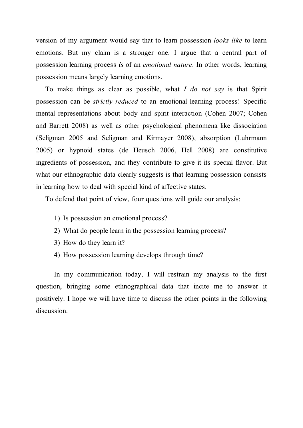version of my argument would say that to learn possession *looks like* to learn emotions. But my claim is a stronger one. I argue that a central part of possession learning process *is* of an *emotional nature*. In other words, learning possession means largely learning emotions.

To make things as clear as possible, what *I do not say* is that Spirit possession can be *strictly reduced* to an emotional learning process! Specific mental representations about body and spirit interaction (Cohen 2007; Cohen and Barrett 2008) as well as other psychological phenomena like dissociation (Seligman 2005 and Seligman and Kirmayer 2008), absorption (Luhrmann 2005) or hypnoid states (de Heusch 2006, Hell 2008) are constitutive ingredients of possession, and they contribute to give it its special flavor. But what our ethnographic data clearly suggests is that learning possession consists in learning how to deal with special kind of affective states.

To defend that point of view, four questions will guide our analysis:

- 1) Is possession an emotional process?
- 2) What do people learn in the possession learning process?
- 3) How do they learn it?
- 4) How possession learning develops through time?

In my communication today, I will restrain my analysis to the first question, bringing some ethnographical data that incite me to answer it positively. I hope we will have time to discuss the other points in the following discussion.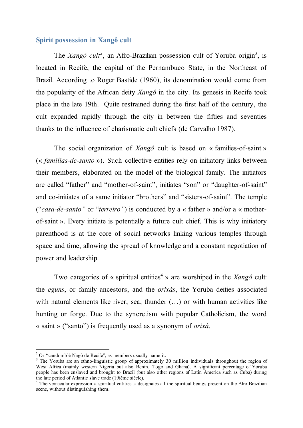# **Spirit possession in Xangô cult**

The *Xangô cult<sup>2</sup>*, an Afro-Brazilian possession cult of Yoruba origin<sup>3</sup>, is located in Recife, the capital of the Pernambuco State, in the Northeast of Brazil. According to Roger Bastide (1960), its denomination would come from the popularity of the African deity *Xangô* in the city. Its genesis in Recife took place in the late 19th. Quite restrained during the first half of the century, the cult expanded rapidly through the city in between the fifties and seventies thanks to the influence of charismatic cult chiefs (de Carvalho 1987).

The social organization of *Xangô* cult is based on « families-of-saint » (« *familias-de-santo* »). Such collective entities rely on initiatory links between their members, elaborated on the model of the biological family. The initiators are called "father" and "mother-of-saint", initiates "son" or "daughter-of-saint" and co-initiates of a same initiator "brothers" and "sisters-of-saint". The temple ("*casa-de-santo"* or "*terreiro"*) is conducted by a « father » and/or a « motherof-saint ». Every initiate is potentially a future cult chief. This is why initiatory parenthood is at the core of social networks linking various temples through space and time, allowing the spread of knowledge and a constant negotiation of power and leadership.

Two categories of « spiritual entities <sup>4</sup> » are worshiped in the *Xangô* cult: the *eguns*, or family ancestors, and the *orixás*, the Yoruba deities associated with natural elements like river, sea, thunder  $(...)$  or with human activities like hunting or forge. Due to the syncretism with popular Catholicism, the word « saint » ("santo") is frequently used as a synonym of *orixá*.

<sup>&</sup>lt;sup>2</sup> Or "candomblé Nagô de Recife", as members usually name it.<br><sup>3</sup> The Yoruba are an ethno-linguistic group of approximately 30 million individuals throughout the region of West Africa (mainly western Nigeria but also Benin, Togo and Ghana). A significant percentage of Yoruba people has been enslaved and brought to Brazil (but also other regions of Latin America such as Cuba) during the late period of Atlantic slave trade (19ième siècle).  $\frac{4}{1}$  The vernacular expression « spiritual entities » designates all the spiritual beings present on the Afro-Brazilian

scene, without distinguishing them.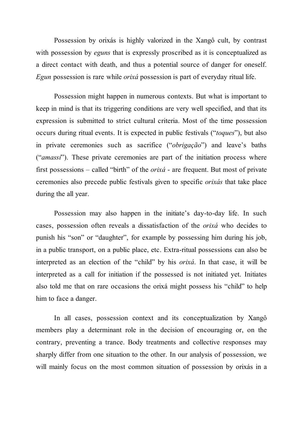Possession by orixás is highly valorized in the Xangô cult, by contrast with possession by *eguns* that is expressly proscribed as it is conceptualized as a direct contact with death, and thus a potential source of danger for oneself. *Egun* possession is rare while *orixá* possession is part of everyday ritual life.

Possession might happen in numerous contexts. But what is important to keep in mind is that its triggering conditions are very well specified, and that its expression is submitted to strict cultural criteria. Most of the time possession occurs during ritual events. It is expected in public festivals ("*toques*"), but also in private ceremonies such as sacrifice ("*obrigação*") and leave's baths ("*amassi*"). These private ceremonies are part of the initiation process where first possessions – called "birth" of the *orixá* - are frequent. But most of private ceremonies also precede public festivals given to specific *orixás* that take place during the all year.

Possession may also happen in the initiate's day-to-day life. In such cases, possession often reveals a dissatisfaction of the *orixá* who decides to punish his "son" or "daughter", for example by possessing him during his job, in a public transport, on a public place, etc. Extra-ritual possessions can also be interpreted as an election of the "child" by his *orixá*. In that case, it will be interpreted as a call for initiation if the possessed is not initiated yet. Initiates also told me that on rare occasions the orixá might possess his "child" to help him to face a danger.

In all cases, possession context and its conceptualization by Xangô members play a determinant role in the decision of encouraging or, on the contrary, preventing a trance. Body treatments and collective responses may sharply differ from one situation to the other. In our analysis of possession, we will mainly focus on the most common situation of possession by orixás in a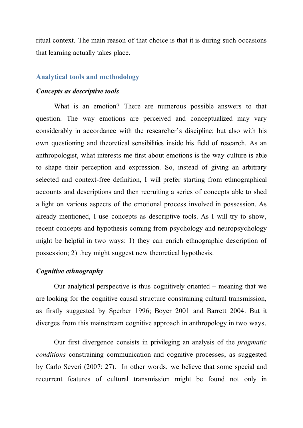ritual context. The main reason of that choice is that it is during such occasions that learning actually takes place.

#### **Analytical tools and methodology**

#### *Concepts as descriptive tools*

What is an emotion? There are numerous possible answers to that question. The way emotions are perceived and conceptualized may vary considerably in accordance with the researcher's discipline; but also with his own questioning and theoretical sensibilities inside his field of research. As an anthropologist, what interests me first about emotions is the way culture is able to shape their perception and expression. So, instead of giving an arbitrary selected and context-free definition, I will prefer starting from ethnographical accounts and descriptions and then recruiting a series of concepts able to shed a light on various aspects of the emotional process involved in possession. As already mentioned, I use concepts as descriptive tools. As I will try to show, recent concepts and hypothesis coming from psychology and neuropsychology might be helpful in two ways: 1) they can enrich ethnographic description of possession; 2) they might suggest new theoretical hypothesis.

#### *Cognitive ethnography*

Our analytical perspective is thus cognitively oriented – meaning that we are looking for the cognitive causal structure constraining cultural transmission, as firstly suggested by Sperber 1996; Boyer 2001 and Barrett 2004. But it diverges from this mainstream cognitive approach in anthropology in two ways.

Our first divergence consists in privileging an analysis of the *pragmatic conditions* constraining communication and cognitive processes, as suggested by Carlo Severi (2007: 27). In other words, we believe that some special and recurrent features of cultural transmission might be found not only in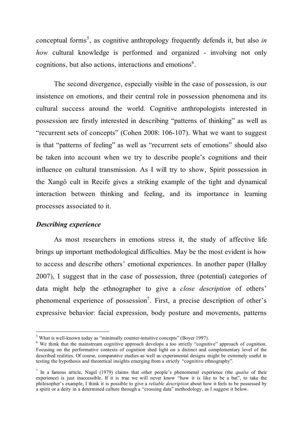conceptual forms 5 , as cognitive anthropology frequently defends it, but also *in how* cultural knowledge is performed and organized - involving not only cognitions, but also actions, interactions and emotions<sup>6</sup>.

The second divergence, especially visible in the case of possession, is our insistence on emotions, and their central role in possession phenomena and its cultural success around the world. Cognitive anthropologists interested in possession are firstly interested in describing "patterns of thinking" as well as "recurrent sets of concepts" (Cohen 2008: 106-107). What we want to suggest is that "patterns of feeling" as well as "recurrent sets of emotions" should also be taken into account when we try to describe people's cognitions and their influence on cultural transmission. As I will try to show, Spirit possession in the Xangô cult in Recife gives a striking example of the tight and dynamical interaction between thinking and feeling, and its importance in learning processes associated to it.

#### *Describing experience*

As most researchers in emotions stress it, the study of affective life brings up important methodological difficulties. May be the most evident is how to access and describe others' emotional experiences. In another paper (Halloy 2007), I suggest that in the case of possession, three (potential) categories of data might help the ethnographer to give a *close description* of others' phenomenal experience of possession<sup>7</sup>. First, a precise description of other's expressive behavior: facial expression, body posture and movements, patterns

<sup>&</sup>lt;sup>5</sup> What is well-known today as "minimally counter-intuitive concepts" (Boyer 1997).<br><sup>6</sup> We think that the mainstream cognitive approach develops a too strictly "cognitive" approach of cognition. Focusing on the performative contexts of cognition shed light on a distinct and complementary level of the described realities. Of course, comparative studies as well as experimental designs might be extremely useful in testing the hypothesis and theoretical insights emerging from a strictly "cognitive ethnography".

<sup>7</sup> In a famous article, Nagel (1979) claims that other people's phenomenal experience (the *qualia* of their experience) is just inaccessible. If it is true we will never know "how it is like to be a bat", to take the philosopher's example, I think it is possible to give a *reliable description* about how it feels to be possessed by a spirit or a deity in a determined culture through a "crossing data" methodology, as I suggest it below.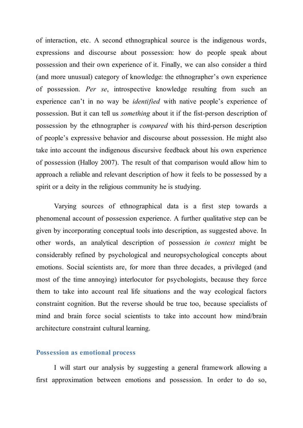of interaction, etc. A second ethnographical source is the indigenous words, expressions and discourse about possession: how do people speak about possession and their own experience of it. Finally, we can also consider a third (and more unusual) category of knowledge: the ethnographer's own experience of possession. *Per se*, introspective knowledge resulting from such an experience can't in no way be *identified* with native people's experience of possession. But it can tell us *something* about it if the fist-person description of possession by the ethnographer is *compared* with his third-person description of people's expressive behavior and discourse about possession. He might also take into account the indigenous discursive feedback about his own experience of possession (Halloy 2007). The result of that comparison would allow him to approach a reliable and relevant description of how it feels to be possessed by a spirit or a deity in the religious community he is studying.

Varying sources of ethnographical data is a first step towards a phenomenal account of possession experience. A further qualitative step can be given by incorporating conceptual tools into description, as suggested above. In other words, an analytical description of possession *in context* might be considerably refined by psychological and neuropsychological concepts about emotions. Social scientists are, for more than three decades, a privileged (and most of the time annoying) interlocutor for psychologists, because they force them to take into account real life situations and the way ecological factors constraint cognition. But the reverse should be true too, because specialists of mind and brain force social scientists to take into account how mind/brain architecture constraint cultural learning.

#### **Possession as emotional process**

I will start our analysis by suggesting a general framework allowing a first approximation between emotions and possession. In order to do so,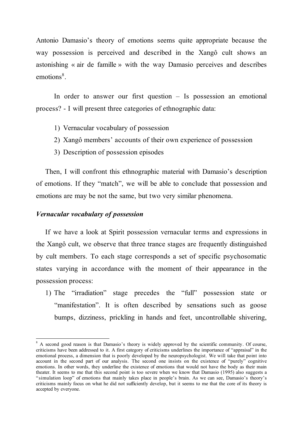Antonio Damasio's theory of emotions seems quite appropriate because the way possession is perceived and described in the Xangô cult shows an astonishing « air de famille » with the way Damasio perceives and describes emotions<sup>8</sup>.

In order to answer our first question – Is possession an emotional process? - I will present three categories of ethnographic data:

- 1) Vernacular vocabulary of possession
- 2) Xangô members' accounts of their own experience of possession
- 3) Description of possession episodes

Then, I will confront this ethnographic material with Damasio's description of emotions. If they "match", we will be able to conclude that possession and emotions are may be not the same, but two very similar phenomena.

# *Vernacular vocabulary of possession*

If we have a look at Spirit possession vernacular terms and expressions in the Xangô cult, we observe that three trance stages are frequently distinguished by cult members. To each stage corresponds a set of specific psychosomatic states varying in accordance with the moment of their appearance in the possession process:

1) The "irradiation" stage precedes the "full" possession state or "manifestation". It is often described by sensations such as goose bumps, dizziness, prickling in hands and feet, uncontrollable shivering,

<sup>&</sup>lt;sup>8</sup> A second good reason is that Damasio's theory is widely approved by the scientific community. Of course, criticisms have been addressed to it. A first category of criticisms underlines the importance of "appraisal" in the emotional process, a dimension that is poorly developed by the neuropsychologist. We will take that point into account in the second part of our analysis. The second one insists on the existence of "purely" cognitive emotions. In other words, they underline the existence of emotions that would not have the body as their main theater. It seems to me that this second point is too severe when we know that Damasio (1995) also suggests a "simulation loop" of emotions that mainly takes place in people's brain. As we can see, Damasio's theory's criticisms mainly focus on what he did not sufficiently develop, but it seems to me that the core of its theory is accepted by everyone.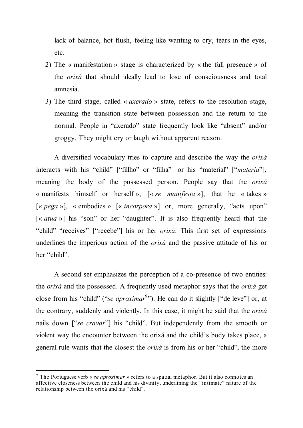lack of balance, hot flush, feeling like wanting to cry, tears in the eyes, etc.

- 2) The « manifestation » stage is characterized by « the full presence » of the *orixá* that should ideally lead to lose of consciousness and total amnesia.
- 3) The third stage, called « *axerado* » state, refers to the resolution stage, meaning the transition state between possession and the return to the normal. People in "axerado" state frequently look like "absent" and/or groggy. They might cry or laugh without apparent reason.

A diversified vocabulary tries to capture and describe the way the *orixá* interacts with his "child" ["fillho" or "filha"] or his "material" ["*materia*"], meaning the body of the possessed person. People say that the *orixá* « manifests himself or herself », [« *se manifesta* »], that he « takes » [« *pega* »], « embodies » [« *incorpora* »] or, more generally, "acts upon" [« *atua* »] his "son" or her "daughter". It is also frequently heard that the "child" "receives" ["recebe"] his or her *orixá*. This first set of expressions underlines the imperious action of the *orixá* and the passive attitude of his or her "child".

A second set emphasizes the perception of a co-presence of two entities: the *orixá* and the possessed. A frequently used metaphor says that the *orixá* get close from his "child" ("*se aproximar* 9 "). He can do it slightly ["de leve"] or, at the contrary, suddenly and violently. In this case, it might be said that the *orixá* nails down ["*se cravar*"] his "child". But independently from the smooth or violent way the encounter between the orixá and the child's body takes place, a general rule wants that the closest the *orixá* is from his or her "child", the more

 <sup>9</sup> The Portuguese verb « *se aproximar* » refers to <sup>a</sup> spatial metaphor. But it also connotes an affective closeness between the child and his divinity, underlining the "intimate" nature of the relationship between the orixá and his "child".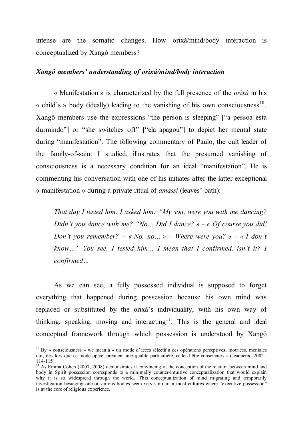intense are the somatic changes. How orixá/mind/body interaction is conceptualized by Xangô members?

# *Xangô members' understanding of orixá/mind/body interaction*

« Manifestation » is characterized by the full presence of the *orixá* in his « child's » body (ideally) leading to the vanishing of his own consciousness<sup>10</sup>. Xangô members use the expressions "the person is sleeping" ["a pessoa esta durmindo"] or "she switches off" ["ela apagou"] to depict her mental state during "manifestation". The following commentary of Paulo, the cult leader of the family-of-saint I studied, illustrates that the presumed vanishing of consciousness is a necessary condition for an ideal "manifestation". He is commenting his conversation with one of his initiates after the latter exceptional « manifestation » during a private ritual of *amassí* (leaves' bath):

*That day I tested him. I asked him: "My son, were you with me dancing? Didn't you dance with me? "No… Did I dance? » - « Of course you did! Don't you remember? – « No, no… » - Where were you? » - « I don't know…" You see, I tested him… I mean that I confirmed, isn't it? I confirmed…*

As we can see, a fully possessed individual is supposed to forget everything that happened during possession because his own mind was replaced or substituted by the orixá's individuality, with his own way of thinking, speaking, moving and interacting<sup>11</sup>. This is the general and ideal conceptual framework through which possession is understood by Xangô

 $10$  By « consciousness » we mean a « un mode d'accès sélectif à des opérations perceptives, motrices, mentales qui, dès lors que ce mode opère, prennent une qualité particulière, celle d'être conscientes » (Jeannerod 2002 :

<sup>&</sup>lt;sup>11</sup> As Emma Cohen (2007, 2008) demonstrates it convincingly, the conception of the relation between mind and body in Spirit possession corresponds to a minimally counter-intuitive conceptualization that would explain why it is so widespread through the world. This conceptualization of mind migrating and temporarily investigation besieging one or various bodies seem very similar in most cultures where "executive possession" is at the core of religious experience.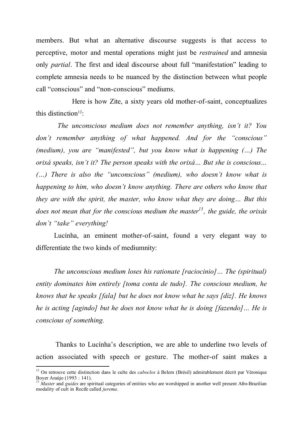members. But what an alternative discourse suggests is that access to perceptive, motor and mental operations might just be *restrained* and amnesia only *partial*. The first and ideal discourse about full "manifestation" leading to complete amnesia needs to be nuanced by the distinction between what people call "conscious" and "non-conscious" mediums.

Here is how Zite, a sixty years old mother-of-saint, conceptualizes this distinction<sup>12</sup>:

*The unconscious medium does not remember anything, isn't it? You don't remember anything of what happened. And for the "conscious" (medium), you are "manifested", but you know what is happening (…) The orixá speaks, isn't it? The person speaks with the orixá… But she is conscious… (…) There is also the "unconscious" (medium), who doesn't know what is happening to him, who doesn't know anything. There are others who know that they are with the spirit, the master, who know what they are doing… But this does not mean that for the conscious medium the master 13 , the guide, the orixás don't "take" everything!*

Lucínha, an eminent mother-of-saint, found a very elegant way to differentiate the two kinds of mediumnity:

*The unconscious medium loses his rationate [raciocinio]… The (spiritual) entity dominates him entirely [toma conta de tudo]. The conscious medium, he knows that he speaks [fala] but he does not know what he says [diz]. He knows he is acting [agindo] but he does not know what he is doing [fazendo]… He is conscious of something.*

Thanks to Lucínha's description, we are able to underline two levels of action associated with speech or gesture. The mother-of saint makes a

<sup>&</sup>lt;sup>12</sup> On retrouve cette distinction dans le culte des *caboclos* à Belem (Brésil) admirablement décrit par Véronique Boyer Araújo (1993 : 141).

Master and *guides* are spiritual categories of entities who are worshipped in another well present Afro-Brazilian modality of cult in Recife called *jurema*.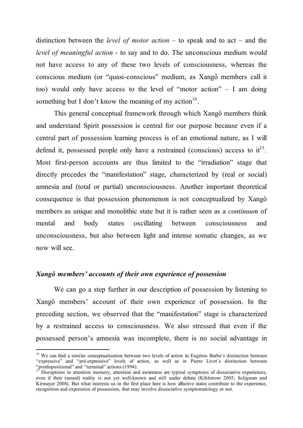distinction between the *level of motor action* – to speak and to act – and the *level of meaningful action* - to say and to do. The unconscious medium would not have access to any of these two levels of consciousness, whereas the conscious medium (or "quasi-conscious" medium, as Xangô members call it too) would only have access to the level of "motor action" – I am doing something but I don't know the meaning of my action $14$ .

This general conceptual framework through which Xangô members think and understand Spirit possession is central for our purpose because even if a central part of possession learning process is of an emotional nature, as I will defend it, possessed people only have a restrained (conscious) access to  $it^{15}$ . Most first-person accounts are thus limited to the "irradiation" stage that directly precedes the "manifestation" stage, characterized by (real or social) amnesia and (total or partial) unconsciousness. Another important theoretical consequence is that possession phenomenon is not conceptualized by Xangô members as unique and monolithic state but it is rather seen as a *continuum* of mental and body states oscillating between consciousness and unconsciousness, but also between light and intense somatic changes, as we now will see.

# *Xangô members' accounts of their own experience of possession*

We can go a step further in our description of possession by listening to Xangô members' account of their own experience of possession. In the preceding section, we observed that the "manifestation" stage is characterized by a restrained access to consciousness. We also stressed that even if the possessed person's amnesia was incomplete, there is no social advantage in

<sup>&</sup>lt;sup>14</sup> We can find a similar conceptualization between two levels of action in Eugênio Barba's distinction between "expressive" and "pré-expressive" levels of action, as well as in Pierre Livet's distinction between "predispositional" and "terminal" actions (1994).<br><sup>15</sup> Disruptions in attention memory, attention and awareness are typical symptoms of dissociative experiences,

even if their (neural) reality is not yet well-known and still under debate (Kihlstrom 2005; Seligman and Kirmayer 2008). But what interests us in the first place here is how affective states contribute to the experience, recognition and expression of possession, that may involve dissociative symptomatology or not.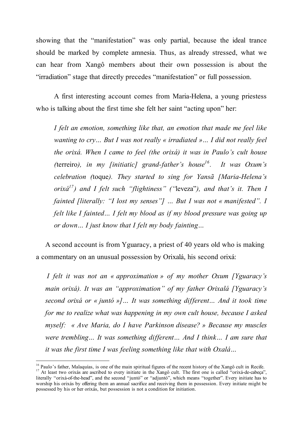showing that the "manifestation" was only partial, because the ideal trance should be marked by complete amnesia. Thus, as already stressed, what we can hear from Xangô members about their own possession is about the "irradiation" stage that directly precedes "manifestation" or full possession.

A first interesting account comes from Maria-Helena, a young priestess who is talking about the first time she felt her saint "acting upon" her:

*I felt an emotion, something like that, an emotion that made me feel like wanting to cry… But I was not really « irradiated »… I did not really feel the orixá. When I came to feel (the orixá) it was in Paulo's cult house (terreiro), in my [initiatic] grand-father's house<sup>16</sup>. It was Oxum's celebration (*toque*). They started to sing for Yansã [Maria-Helena's orixá17 ) and I felt such "flightiness" ("*leveza"*), and that's it. Then I fainted [literally: "I lost my senses"] … But I was not « manifested". I felt like I fainted… I felt my blood as if my blood pressure was going up or down… I just know that I felt my body fainting…*

A second account is from Yguaracy, a priest of 40 years old who is making a commentary on an unusual possession by Orixalá, his second orixá:

*I felt it was not an « approximation » of my mother Oxum [Yguaracy's main orixá). It was an "approximation" of my father Orixalá [Yguaracy's second orixá or « juntó »]… It was something different… And it took time for me to realize what was happening in my own cult house, because I asked myself: « Ave Maria, do I have Parkinson disease? » Because my muscles were trembling… It was something different… And I think… I am sure that it was the first time I was feeling something like that with Oxalá…*

<sup>&</sup>lt;sup>16</sup> Paulo's father, Malaquías, is one of the main spiritual figures of the recent history of the Xangô cult in Recife.<br><sup>17</sup> At least two orixás are ascribed to every initiate in the Xangô cult. The first one is called "o literally "orixá-of-the-head", and the second "juntó" or "adjuntó", which means "together". Every initiate has to worship his orixás by offering them an annual sacrifice and receiving them in possession. Every initiate might be possessed by his or her orixás, but possession is not a condition for initiation.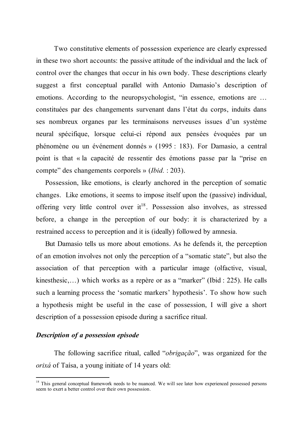Two constitutive elements of possession experience are clearly expressed in these two short accounts: the passive attitude of the individual and the lack of control over the changes that occur in his own body. These descriptions clearly suggest a first conceptual parallel with Antonio Damasio's description of emotions. According to the neuropsychologist, "in essence, emotions are … constituées par des changements survenant dans l'état du corps, induits dans ses nombreux organes par les terminaisons nerveuses issues d'un système neural spécifique, lorsque celui-ci répond aux pensées évoquées par un phénomène ou un événement donnés » (1995 : 183). For Damasio, a central point is that « la capacité de ressentir des émotions passe par la "prise en compte" des changements corporels » (*Ibid.* : 203).

Possession, like emotions, is clearly anchored in the perception of somatic changes. Like emotions, it seems to impose itself upon the (passive) individual, offering very little control over it<sup>18</sup>. Possession also involves, as stressed before, a change in the perception of our body: it is characterized by a restrained access to perception and it is (ideally) followed by amnesia.

But Damasio tells us more about emotions. As he defends it, the perception of an emotion involves not only the perception of a "somatic state", but also the association of that perception with a particular image (olfactive, visual, kinesthesic,…) which works as a repère or as a "marker" (Ibid : 225). He calls such a learning process the 'somatic markers' hypothesis'. To show how such a hypothesis might be useful in the case of possession, I will give a short description of a possession episode during a sacrifice ritual.

# *Description of a possession episode*

The following sacrifice ritual, called "*obrigação*", was organized for the *orixá* of Taísa, a young initiate of 14 years old:

<sup>&</sup>lt;sup>18</sup> This general conceptual framework needs to be nuanced. We will see later how experienced possessed persons seem to exert a better control over their own possession.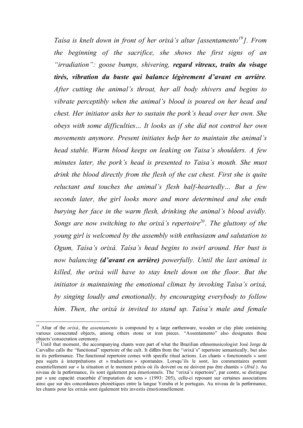*Taísa is knelt down in front of her orixá's altar [assentamento<sup>19</sup>]. From the beginning of the sacrifice, she shows the first signs of an "irradiation": goose bumps, shivering, regard vitreux, traits du visage tirés, vibration du buste qui balance légèrement d'avant en arrière. After cutting the animal's throat, her all body shivers and begins to vibrate perceptibly when the animal's blood is poured on her head and chest. Her initiator asks her to sustain the pork's head over her own. She obeys with some difficulties… It looks as if she did not control her own movements anymore. Present initiates help her to maintain the animal's head stable. Warm blood keeps on leaking on Taisa's shoulders. A few minutes later, the pork's head is presented to Taisa's mouth. She must drink the blood directly from the flesh of the cut chest. First she is quite reluctant and touches the animal's flesh half-heartedly… But a few seconds later, the girl looks more and more determined and she ends burying her face in the warm flesh, drinking the animal's blood avidly. Songs are now switching to the orixá's repertoire 20 . The gluttony of the young girl is welcomed by the assembly with enthusiasm and salutation to Ogum, Taísa's orixá. Taísa's head begins to swirl around. Her bust is now balancing (d'avant en arrière) powerfully. Until the last animal is killed, the orixá will have to stay knelt down on the floor. But the initiator is maintaining the emotional climax by invoking Taísa's orixá, by singing loudly and emotionally, by encouraging everybody to follow him. Then, the orixá is invited to stand up. Taísa's male and female*

<sup>&</sup>lt;sup>19</sup> Altar of the *orixá*, the *assentamento* is compound by a large earthenware, wooden or clay plate containing various consecrated objects, among others stone or iron pieces. "Assentamento" also designates these objects'consecration ceremony. <sup>20</sup> Until that moment, the accompanying chants were part of what the Brazilian ethnomusicologist José Jorge de

Carvalho calls the "functional" repertoire of the cult. It differs from the "orixá's" repertoire semantically, but also in its performance. The functional repertoire comes with specific ritual actions. Les chants « fonctionnels » sont peu sujets à interprétations et « traductions » spontanées. Lorsqu'ils le sont, les commentaires portent essentiellement sur « la situation et le moment précis où ils doivent ou ne doivent pas être chantés » (*Ibid.*). Au niveau de la performance, ils sont également peu émotionnels. The "orixá's repertoire", par contre, se distingue par « une capacité exacerbée d'imputation de sens » (1993: 205), celle-ci reposant sur certaines associations ainsi que sur des concordances phonétiques entre la langue Yoruba et le portugais. Au niveau de la performance, les chants pour les orixás sont également très investis émotionnellement.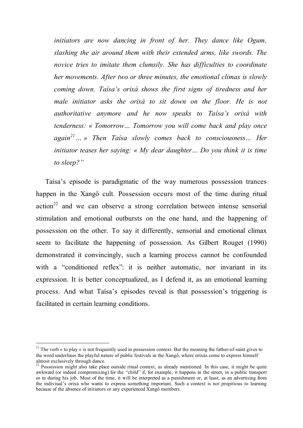*initiators are now dancing in front of her. They dance like Ogum, slashing the air around them with their extended arms, like swords. The novice tries to imitate them clumsily. She has difficulties to coordinate her movements. After two or three minutes, the emotional climax is slowly coming down. Taísa's orixá shows the first signs of tiredness and her male initiator asks the orixá to sit down on the floor. He is not authoritative anymore and he now speaks to Taísa's orixá with tenderness: « Tomorrow… Tomorrow you will come back and play once again<sup>21</sup> … » Then Taísa slowly comes back to consciousness… Her initiator teases her saying: « My dear daughter… Do you think it is time to sleep?"*

Taísa's episode is paradigmatic of the way numerous possession trances happen in the Xangô cult. Possession occurs most of the time during ritual  $action<sup>22</sup>$  and we can observe a strong correlation between intense sensorial stimulation and emotional outbursts on the one hand, and the happening of possession on the other. To say it differently, sensorial and emotional climax seem to facilitate the happening of possession. As Gilbert Rouget (1990) demonstrated it convincingly, such a learning process cannot be confounded with a "conditioned reflex": it is neither automatic, nor invariant in its expression. It is better conceptualized, as I defend it, as an emotional learning process. And what Taísa's episodes reveal is that possession's triggering is facilitated in certain learning conditions.

<sup>&</sup>lt;sup>21</sup> The verb « to play » is not frequently used in possession context. But the meaning the father-of-saint gives to the word underlines the playful nature of public festivals in the Xangô, where orixás come to express himself almost exclusively through dance.<br><sup>22</sup> Possession might also take place outside ritual context, as already mentioned. In this case, it might be quite

awkward (or indeed compromising) for the "child" if, for example, it happens in the street, in a public transport or in during his job. Most of the time, it will be interpreted as a punishment or, at least, as an advertising from the indiviual's orixá who wants to express something important. Such a context is not propitious to learning because of the absence of initiators or any experienced Xangô members.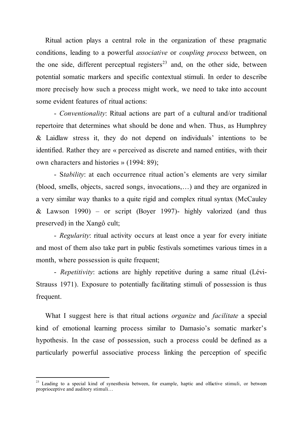Ritual action plays a central role in the organization of these pragmatic conditions, leading to a powerful *associative* or *coupling process* between, on the one side, different perceptual registers<sup>23</sup> and, on the other side, between potential somatic markers and specific contextual stimuli. In order to describe more precisely how such a process might work, we need to take into account some evident features of ritual actions:

- *Conventionality*: Ritual actions are part of a cultural and/or traditional repertoire that determines what should be done and when. Thus, as Humphrey & Laidlaw stress it, they do not depend on individuals' intentions to be identified. Rather they are « perceived as discrete and named entities, with their own characters and histories » (1994: 89);

- S*tability*: at each occurrence ritual action's elements are very similar (blood, smells, objects, sacred songs, invocations,…) and they are organized in a very similar way thanks to a quite rigid and complex ritual syntax (McCauley & Lawson 1990) – or script (Boyer 1997)- highly valorized (and thus preserved) in the Xangô cult;

- *Regularity*: ritual activity occurs at least once a year for every initiate and most of them also take part in public festivals sometimes various times in a month, where possession is quite frequent;

- *Repetitivity*: actions are highly repetitive during a same ritual (Lévi-Strauss 1971). Exposure to potentially facilitating stimuli of possession is thus frequent.

What I suggest here is that ritual actions *organize* and *facilitate* a special kind of emotional learning process similar to Damasio's somatic marker's hypothesis. In the case of possession, such a process could be defined as a particularly powerful associative process linking the perception of specific

<sup>&</sup>lt;sup>23</sup> Leading to a special kind of synesthesia between, for example, haptic and olfactive stimuli, or between proprioceptive and auditory stimuli…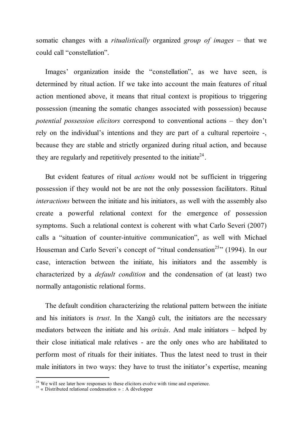somatic changes with a *ritualistically* organized *group of images* – that we could call "constellation".

Images' organization inside the "constellation", as we have seen, is determined by ritual action. If we take into account the main features of ritual action mentioned above, it means that ritual context is propitious to triggering possession (meaning the somatic changes associated with possession) because *potential possession elicitors* correspond to conventional actions – they don't rely on the individual's intentions and they are part of a cultural repertoire -, because they are stable and strictly organized during ritual action, and because they are regularly and repetitively presented to the initiate<sup>24</sup>.

But evident features of ritual *actions* would not be sufficient in triggering possession if they would not be are not the only possession facilitators. Ritual *interactions* between the initiate and his initiators, as well with the assembly also create a powerful relational context for the emergence of possession symptoms. Such a relational context is coherent with what Carlo Severi (2007) calls a "situation of counter-intuitive communication", as well with Michael Houseman and Carlo Severi's concept of "ritual condensation<sup>25</sup>" (1994). In our case, interaction between the initiate, his initiators and the assembly is characterized by a *default condition* and the condensation of (at least) two normally antagonistic relational forms.

The default condition characterizing the relational pattern between the initiate and his initiators is *trust*. In the Xangô cult, the initiators are the necessary mediators between the initiate and his *orixás*. And male initiators – helped by their close initiatical male relatives - are the only ones who are habilitated to perform most of rituals for their initiates. Thus the latest need to trust in their male initiators in two ways: they have to trust the initiator's expertise, meaning

<sup>&</sup>lt;sup>24</sup> We will see later how responses to these elicitors evolve with time and experience.<br><sup>25</sup> « Distributed relational condensation » : A développer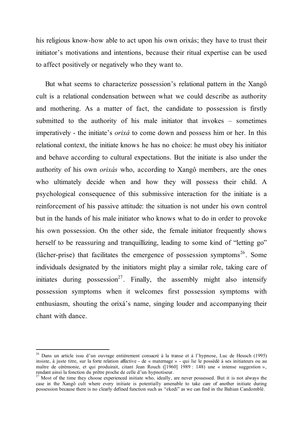his religious know-how able to act upon his own orixás; they have to trust their initiator's motivations and intentions, because their ritual expertise can be used to affect positively or negatively who they want to.

But what seems to characterize possession's relational pattern in the Xangô cult is a relational condensation between what we could describe as authority and mothering. As a matter of fact, the candidate to possession is firstly submitted to the authority of his male initiator that invokes – sometimes imperatively - the initiate's *orixá* to come down and possess him or her. In this relational context, the initiate knows he has no choice: he must obey his initiator and behave according to cultural expectations. But the initiate is also under the authority of his own *orixás* who, according to Xangô members, are the ones who ultimately decide when and how they will possess their child. A psychological consequence of this submissive interaction for the initiate is a reinforcement of his passive attitude: the situation is not under his own control but in the hands of his male initiator who knows what to do in order to provoke his own possession. On the other side, the female initiator frequently shows herself to be reassuring and tranquillizing, leading to some kind of "letting go" (lâcher-prise) that facilitates the emergence of possession symptoms<sup>26</sup>. Some individuals designated by the initiators might play a similar role, taking care of initiates during possession<sup>27</sup>. Finally, the assembly might also intensify possession symptoms when it welcomes first possession symptoms with enthusiasm, shouting the orixá's name, singing louder and accompanying their chant with dance.

 <sup>26</sup> Dans un article issu d'un ouvrage entièrement consacré <sup>à</sup> la transe et <sup>à</sup> l'hypnose, Luc de Heusch (1995) insiste, à juste titre, sur la forte relation affective - de « maternage » - qui lie le possédé à ses initiateurs ou au maître de cérémonie, et qui produirait, citant Jean Rouch ([1960] 1989 : 148) une « intense suggestion », rendant ainsi la fonction du prêtre proche de celle d'un hypnotiseur.

Most of the time they choose experienced initiate who, ideally, are never possessed. But it is not always the case in the Xangô cult where every initiate is potentially amenable to take care of another initiate during possession because there is no clearly defined function such as "ekedi" as we can find in the Bahian Candomblé.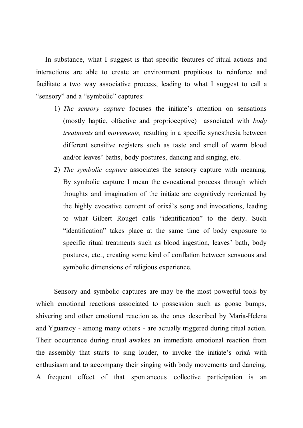In substance, what I suggest is that specific features of ritual actions and interactions are able to create an environment propitious to reinforce and facilitate a two way associative process, leading to what I suggest to call a "sensory" and a "symbolic" captures:

- 1) *The sensory capture* focuses the initiate's attention on sensations (mostly haptic, olfactive and proprioceptive) associated with *body treatments* and *movements,* resulting in a specific synesthesia between different sensitive registers such as taste and smell of warm blood and/or leaves' baths, body postures, dancing and singing, etc.
- 2) *The symbolic capture* associates the sensory capture with meaning. By symbolic capture I mean the evocational process through which thoughts and imagination of the initiate are cognitively reoriented by the highly evocative content of orixá's song and invocations, leading to what Gilbert Rouget calls "identification" to the deity. Such "identification" takes place at the same time of body exposure to specific ritual treatments such as blood ingestion, leaves' bath, body postures, etc., creating some kind of conflation between sensuous and symbolic dimensions of religious experience.

Sensory and symbolic captures are may be the most powerful tools by which emotional reactions associated to possession such as goose bumps, shivering and other emotional reaction as the ones described by Maria-Helena and Yguaracy - among many others - are actually triggered during ritual action. Their occurrence during ritual awakes an immediate emotional reaction from the assembly that starts to sing louder, to invoke the initiate's orixá with enthusiasm and to accompany their singing with body movements and dancing. A frequent effect of that spontaneous collective participation is an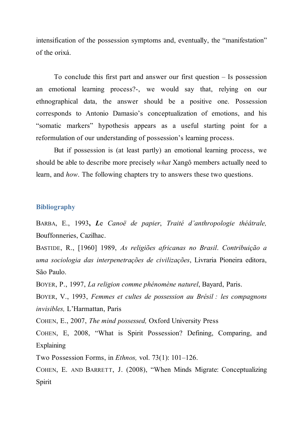intensification of the possession symptoms and, eventually, the "manifestation" of the orixá.

To conclude this first part and answer our first question – Is possession an emotional learning process?-, we would say that, relying on our ethnographical data, the answer should be a positive one. Possession corresponds to Antonio Damasio's conceptualization of emotions, and his "somatic markers" hypothesis appears as a useful starting point for a reformulation of our understanding of possession's learning process.

But if possession is (at least partly) an emotional learning process, we should be able to describe more precisely *what* Xangô members actually need to learn, and *how*. The following chapters try to answers these two questions.

#### **Bibliography**

BARBA, E., 1993**,** *L*e *Canoë de papier*, *Traité d'anthropologie théâtrale,* Bouffonneries, Cazilhac.

BASTIDE, R., [1960] 1989, *As religiões africanas no Brasil*. *Contribuição a uma sociologia das interpenetrações de civilizações*, Livraria Pioneira editora, São Paulo.

BOYER, P., 1997, *La religion comme phénomène naturel*, Bayard, Paris.

BOYER, V., 1993, *Femmes et cultes de possession au Brésil : les compagnons invisibles,* L'Harmattan, Paris

COHEN, E., 2007, *The mind possessed,* Oxford University Press

COHEN, E, 2008, "What is Spirit Possession? Defining, Comparing, and **Explaining** 

Two Possession Forms, in *Ethnos,* vol. 73(1): 101–126.

COHEN, E. AND BARRETT, J. (2008), "When Minds Migrate: Conceptualizing Spirit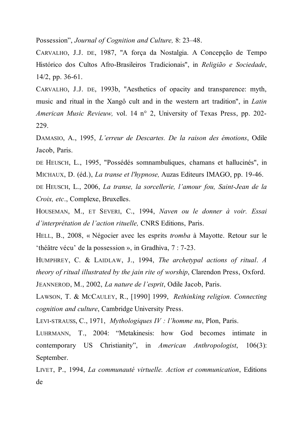Possession", *Journal of Cognition and Culture,* 8: 23–48.

CARVALHO, J.J. DE, 1987, "A força da Nostalgia. A Concepção de Tempo Histórico dos Cultos Afro-Brasileiros Tradicionais", in *Religião e Sociedade*, 14/2, pp. 36-61.

CARVALHO, J.J. DE, 1993b, "Aesthetics of opacity and transparence: myth, music and ritual in the Xangô cult and in the western art tradition", in *Latin American Music Revieuw,* vol. 14 n° 2, University of Texas Press, pp. 202- 229.

DAMASIO, A., 1995, *L'erreur de Descartes. De la raison des émotions*, Odile Jacob, Paris.

DE HEUSCH, L., 1995, "Possédés somnambuliques, chamans et hallucinés", in MICHAUX, D. (éd.), *La transe et l'hypnose,* Auzas Editeurs IMAGO, pp. 19-46.

DE HEUSCH, L., 2006, *La transe, la sorcellerie, l'amour fou, Saint-Jean de la Croix, etc*., Complexe, Bruxelles.

HOUSEMAN, M., ET SEVERI, C., 1994, *Naven ou le donner à voir. Essai d'interprétation de l'action rituelle,* CNRS Editions, Paris.

HELL, B., 2008, « Négocier avec les esprits *tromba* à Mayotte. Retour sur le 'théâtre vécu' de la possession », in Gradhiva, 7 : 7-23.

HUMPHREY, C. & LAIDLAW, J., 1994, *The archetypal actions of ritual*. *A theory of ritual illustrated by the jain rite of worship*, Clarendon Press, Oxford.

JEANNEROD, M., 2002, *La nature de l'esprit*, Odile Jacob, Paris.

LAWSON, T. & MCCAULEY, R., [1990] 1999, *Rethinking religion. Connecting cognition and culture*, Cambridge University Press.

LEVI-STRAUSS, C., 1971, *Mythologiques IV : l'homme nu*, Plon, Paris.

LUHRMANN, T., 2004: "Metakinesis: how God becomes intimate in contemporary US Christianity", in *American Anthropologist*, 106(3): September.

LIVET, P., 1994, *La communauté virtuelle. Action et communication*, Editions de